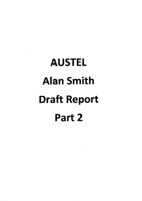# AUSTEL Alan Smith Draft Report Part 2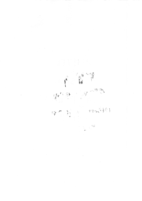大学  $\frac{1}{2} \frac{E}{r}$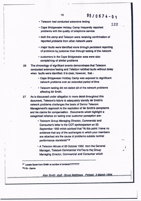$122$ 

- · Telecom had conducted extensive testing
- . Cape Bridgewater Holiday Camp frequently reported problems with the quality of telephone service
- both the camp and Telecom were receiving confirmation of reported problems from other network users
- · major faults were identified more through persistent reporting of problems by customer than through testing of the network
- · customers in the Cape Bridgewater area were also complaining of similar problems

The chronology of significant events demonstrates that Telecom 26 conducted extensive testing and Telecom rectified faults without delay when faults were identified. It is clear, however, that -

- Cape Bridgewater Holiday Camp was exposed to significant network problems over an extended period of time
- . Telecom testing did not detect all of the network problems affecting Mr Smith.

As is discussed under allegation in more detail throughout this 27 document, Telecom's failure to adequately identify Mr Smith's network problems challenges the basis of Senior Telecom Management's approach to the resolution of Mr Smith's complaints and his claims for compensation. Documents which highlight a categorical reliance on testing over customer perception are-

- Telecom Group Managing Director, Commercial and Consumer's letter to the COT spokesperson on 23 September 1992 which advised that "At this point I have no evidence that any of the exchanges to which your members are attached are the cause of problems outside normal performance standards\*18
- . A Telecom Minute of 28 October 1992 from the General Manager, Telecom Commercial Vic/Tas to the Group Managing Director, Commercial and Consumer which

17 Locate Quote from Smith re number of contacts???????? 18<sub>179</sub> - Garms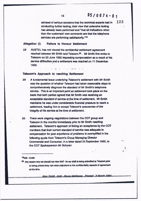advised of serious concerns that the technical experts had in conducting further testing, their view that extensive testing has already been performed and "that all indications other than the customers' own comments are that the telephone services are performing satisfactorily."<sup>19</sup>

#### Allegation (I) **Fallure to Honour Settlement**

28 AUSTEL has not viewed the confidential settlement agreement reached between Mr Smith and Telecom.<sup>20</sup>. Mr Smith first wrote to Telecom on 20 June 1992 requesting compensation as a result of his service difficulties and a settlement was reached on 11 December 1992.

### Telecom's Approach to reaching Settlement

- 29 A fundamental Issue underlying Telecom's settlement with Mr Smith was the question of whether Telecom had taken reasonable steps to comprehensively diagnose the standard of Mr Smith's telephone service. This is an important point as settlement took place on the basis that both parties agreed that Mr Smith was receiving an acceptable standard of service at the time of settlement. Mr Smith maintains he was under considerable financial pressure to reach a settlement, leading him to accept Telecom's assurances of the integrity of his service at the time of settlement.
- There were ongoing negotiations between the COT group and 30 Telecom in the months immediately prior to Mr Smith reaching settlement. Telecom's approach of linking an acceptance by the COT members that their current standard of service was adequate to compensation for past experience of problems is exemplified in the following quote from Telecom's Group Managing Director Commercial and Consumer, in a letter dated 23 September 1992, to the COT Spokesperson Mr Schorer:

#### $19<sub>305</sub>$  Smith

20 Any reason why we should not view this? As our draft is being submitted to Telecom prior to being printed they can raise objections to the confidentiality aspects of agreement at this time.

Alan Smith draft - Bruce Matthews Printed: 3 March 1994

123

ì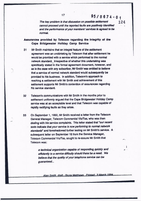The key problem is that discussion on possible settlement cannot proceed until the reported faults are positively identified and the performance of your members' services is agreed to be normal.

Assurances provided by Telecom regarding the Integrity of the Cape Bridgewater Holiday Camp Service

- $31$ Mr Smith maintains that an integral feature of the settlement agreement was an undertaking by Telecom that after settlement he would be provided with a service which performed to the normal network standard. Irrespective of whether this undertaking was specifically stated in the formal agreement document, however, and as is the case with any subscriber, Mr Smith was entitled to believe that a service of normal network standard would subsequently be provided to his business. In addition, Telecom's approach to reaching a settlement with Mr Smith and achievement of this settlement supports Mr Smith's contention of assurances regarding his service standard.
- Telecom's communications with Mr Smith in the months prior to  $32$ settlement uniformly argued that the Cape Bridgewater Holiday Camp service was at an acceptable level and that Telecom was capable of rapidly rectifying faults as they arose.
- On September 1, 1992, Mr Smith received a letter from the Telecom 33 General Manager, Telecom Commercial Vic/Tas, who was then dealing with his service complaints. This letter stated that "our recent tests indicate that your service is now performing to normal network standards" and foreshadowed further testing on Mr Smith's service. A subsequent letter on September 18 from the Service Manager, Telecom Commercial Vic/Tas, sought to re-assure Mr Smith that Telecom was:

a technical organisation capable of responding quickly and efficiently to a service difficulty should there be a need. We believe that the quality of your telephone service can be quaranteed...

Alan Smith draft - Bruce Matthews Printed: 3 March 1994

124

ा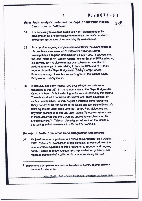## Major Fault Analysis performed on Cape Bridgewater Holiday Camp prior to Settlement

125

- It is necessary to examine action taken by Telecom to identify 34 problems on Mr Smith's service to determine the basis on which Telecom's assurances of service integrity were derived.
- As a result of ongoing complaints from Mr Smith the examination of 35 his problems were elevated to Telecom's National Network Investigations & Support Unit (NNI) on 24 July 1992. It appears that the initial focus of NNI was on reports from Mr Smith of RVA's affecting his service, but it is also clear that over subsequent months NNI performed a range of tests relating to both the RVA and NRR faults reported from the Cape Bridgewater Holiday Camp Service. Foremost amongst these test was a program of test calls to Cape **Bridgewater Holiday Camp.**
- In late July and early August 1992 over 15,000 test calls were 36 generated to 055 267 211, a number close to the Cape Bridgewater Camp numbers. Only 4 switching faults were identified by this testing. These test calls did not utilise Mr Smith's local RCM equipment or cable characteristics. In early August a Portable Tone Answering Relay Set (PTARS) was set up at the Camp and test calls utilising this RCM equipment were made from the Toorak, Port Melbourne and Seymour exchanges to 055 267 230. Again, Telecom's assessment of these calls was that there were no appreciable problems on Mr Smith's service.<sup>21</sup> Telecom placed great reliance on the results of this testing in their assessment of Mr Smith's problems.

## Reports of faults from other Cape Bridgewater Subscribers

Mr Smith reported a problem with "cross conversations" on 2 October 37 1992. Telecom's investigation of this complaint uncovered two other local numbers experiencing this problem on a frequent and ongoing basis. People on these numbers also reported other problems, one reporting being told of a caller to his number receiving an RVA

<sup>21</sup> This will need to be update when a response is received on the RCM channel location of the PTARS during testing.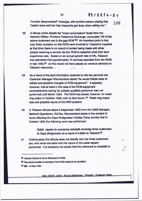"number disconnected" message, with another person stating that "callers have told her they frequently get busy when calling her."

126

- 1

A Minute which details the "cross conversation" faults from the 38 Network Officer, Portland Telephone Exchange, concluded "All of the above customers are in the one RCM\*22 An important point is that only three numbers on this RCM were involved in Telecom's inquiries at that time: there is no record of contact being made with other people receiving a service via this RCM to establish what their fault experience was. Based on an annual growth rate of 5%, Telecom has estimated that approximately 70 services operated from the RCM in late 1992,<sup>23</sup> so this would not have placed an onerous demand on Telecom resources.

39 As a result of the fault information received on the two services the Customer Manager Warmambool stated "he would initiate tests of cables and possible changes of RCM equipment." It appears, however, that at least in the case of the RCM equipment comprehensive testing by suitably qualified personnel was not performed until March 1993. The RCM was tested, however, for weak ring output in October 1992, with no fault found .<sup>24</sup> Weak ring output was one possible cause of the NRR problem.

A Telecom Minute dated 9 September 1993 from the OMG Manager, 40 Network Operations, Vic/Tas, Warmambool states in the context of faults affecting the Cape Bridgewater Holiday Camp service that in October 1992 the following work was performed:

> Cable repairs to overcome crosstalk involving three customers at Cape Bridgewater as a result of a letter to Telecom.<sup>25</sup>

Unfortunately this Minute does not identify who the three customers 41 are, who wrote the letter and the nature of the cable repairs performed. It is therefore not certain that this reference to crosstalk is

23 The actual number of services of the RCM needs to be identified

24 555 - 9 Sept 1993

<sup>22</sup> Gordon Stokes to Dave Stockdale 2/10/92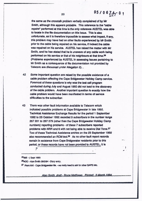the same as the crosstalk problem verbally complained of by Mr Smith, although this appears probable. This reference to the "cable repairs" performed at this time is the only reference AUSTEL was ableto locate in the file documentation on this issue. This is also unfortunate, as it is therefore impossible to assess what impact, if any, this problem may have had on other faults experienced by Mr Smith prior to the cable being repaired on his service, if indeed the cable was repaired on his service. AUSTEL has raised the matter with Mr Smith, and he has stated that he is unaware of any cable work being performed on his service or that of his neighbours at that time.<sup>26</sup> (Problems experienced by AUSTEL in assessing issues pertaining to Mr Smith as a consequence of file documentation not provided by Telecom are discussed under Allegation 2).

42 Some important question are raised by the possible existence of a cable problem affecting the Cape Bridgewater Holiday Camp service. Foremost of these questions is why was the test call program conducted during July and August 1992 did not lead to the discovery of the cable problem. Another important question is exactly how the cable problem would have been manifested in terms of service difficulties to the subscriber.

43 There was other fault information available to Telecom which indicated possible problems at Cape Bridgewater In late 1992. Technical Assistance Exchange Results for the period 1 September 1992 to 23 October 1992 recorded 9 subscribers in the number range 267 201 to 267 279 (other than the Cape Bridgewater Holiday Camp numbers) reporting problems - of these 7 subscribers reported problems with NRR and 6 with not being able to receive Dial Tone.<sup>27</sup> Two of these Technical Assistance entries on the 23 September 1992 also recommended an RCM test.<sup>28</sup> As no other fault report records remain in existence from Cape Bridgewater residents prior to this period, or these records have not been provided to AUSTEL, it is

25555 - (Sept 1993 <sup>26</sup>NOC - Alan Smith 28/2/94 - Diary entry. 27 From NNI - Cape Bridgewater file. - we really need to ask for other GAPS Info.

プ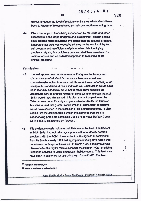128

difficult to gauge the level of problems in the area which should have been to known to Telecom based on their own routine reporting data.

44 Given the range of faults being experienced by Mr Smith and other subscribers in the Cape Bridgewater it is clear that Telecom should have initiated more comprehensive action than the test call program. It appears that their was excessive reliance on the results of the test call program and insufficient analysis of other data identifying problems. Again, this deficiency demonstrated Telecom's lack of a comprehensive and co-ordinated approach to resolution of Mr Smith's problems.

## **Conclusion**

- It would appear reasonable to assume that given the history and 45 circumstances of Mr Smith's complaints Telecom would take comprehensive action to ensure that his service was performing at an acceptable standard and continued to do so. Such action would have been mutually beneficial, as Mr Smith would have received an acceptable service and the number of complaints to Telecom from Mr Smith would have diminished. It is clear that action performed by Telecom was not sufficiently comprehensive to identify the faults on his service, and that greater consideration of customers' complaints would have assisted in the resolution of Mr Smith's problems. It also seems that the considerable number of testaments from callers experiencing problems contacting Cape Bridgewater Holiday Camp were similarly discounted by Telecom.
- File evidence clearly Indicates that Telecom at the time of settlement 46 with Mr Smith had not taken appropriate action to identify possible problems with the RCM. It was not until a resurgence of complaints from Mr Smith in early 1993 that appropriate investigative action was undertaken on this potential cause. In March 1993 a major fault was discovered in the digital remote customer multiplexer (RCM) providing telephone services to Cape Bridgewater holiday camp. This fault may have been in existence for approximately 18 months.<sup>29</sup> The fault

28 Run past Brian Morgan.

29 Exact period needs to be clarified.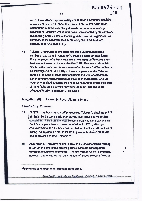would have affected approximately one third of subscribers receiving a service of this RCM. Given the nature of Mr Smith's business in comparison with the essentially domestic services surrounding subscribers, Mr Smith would have been more affected by this problem due to the greater volume of incoming traffic than his nelahbours. (A summary of the circumstances surrounding the RCM fault are detailed under Allegation (iii)).

47 Telecom's ignorance of the existence of the RCM fault raises a number of questions in regard to Telecom's settlement with Smith. For example, on what basis was settlement made by Telecom if this . fault was not known to them at this time? Did Telecom settle with Mr Smith on the basis that his complaints of faults were justified without a full investigation of the validity of these complaints, or did Telecom settle on the basis of faults substantiated to the time of settlement? Either criteria for settlement would have been inadequate, with the latter criteria disadvantaging Mr Smith, as knowledge of the existence of more faults on his service may have led to an increase in the amount offered for settlement of his claims.

## Allegation (ii) Failure to keep clients advised

#### **Introductory Comment**

- AUSTEL has been hampered in assessing Telecom's dealings with V 48 Mr Smith by Telecom's failure to provide files relating to Mr Smith's complaints. A file from the local Telecom area who first dealt with Mr Smith's complaint has not been provided to AUSTEL, although documents from this file have been copied to other files. At the time of writing, no explanation for the failure to provide this file or other files has been received from Telecom.<sup>30</sup>
- 49 As a result of Telecom's failure to provide file documentation relating to Mr Smith some of the following conclusions are consequently based on insufficient information. The information which is available, however, demonstrates that on a number of issues Telecom failed to

30 May need to be re-written if other information comes to light.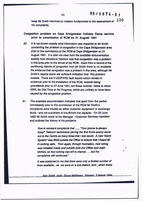keep Mr Smith informed on matters fundamental to the assessment of  $130$ his complaints.

 $95/0674 - 04$ 

Congestion problem on Cape Bridgewater Hollday Camp service prior to commission of RCM on 21 August 1991

- 50 It is not known exactly what Information was imparted to Mr Smith concerning the problem of congestion in the Cape Bridgewater area prior to the commission of the RCM at Cape Bridgewater on 21 August 1991. It is also not clear from the available documentation exactly how conscious Telecom was that congestion was a problem in this area prior to the arrival of the RCM. Apart from a record of the continuing reports of congestion from Mr Smith there is no available file evidence that congestion was a problem in the area, although Mr Smith's reports alone are sufficient indication that this problem existed. There are 4 LEOPARD fault reports which remain in existence prior to the installation of the RCM, records being unavailable prior to 27 June 1991, but these records relate to either NRR, No Dial Tone or No Progress, which are unlikely to have been caused by the congestion problem.
- 51 The available documentation indicates that apart from the period immediately prior to the commission of the RCM Mr Smith's complaints were treated as either customer equipment or exchange faults - and not a problem of insufficient line capacity. On 20 June 1992 Mr Smith wrote to the Manager - Customer Services Hamilton and outlined the history of his problems

Due to constant complaints that ..... "Your phone is always busyl<sup>\*</sup> Telecom technicians (during the first three years) came out to the Centre so many times that I lost count. A new 'Alarm System" was fitted outside the Office to ensure that I heard all in-coming calls. Then again, through frustration, new winng was installed inside and outside both the Office and main kitchen, so that nothing was left to chance . . . but the complaints still continued."

It was explained to me that there were only a limited number of lines available, as we were on a sub-station, and, when those